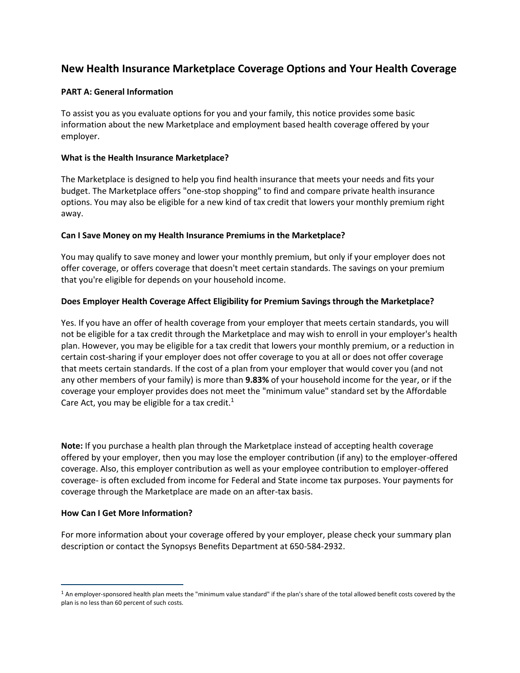# **New Health Insurance Marketplace Coverage Options and Your Health Coverage**

### **PART A: General Information**

To assist you as you evaluate options for you and your family, this notice provides some basic information about the new Marketplace and employment based health coverage offered by your employer.

#### **What is the Health Insurance Marketplace?**

The Marketplace is designed to help you find health insurance that meets your needs and fits your budget. The Marketplace offers "one-stop shopping" to find and compare private health insurance options. You may also be eligible for a new kind of tax credit that lowers your monthly premium right away.

### **Can I Save Money on my Health Insurance Premiums in the Marketplace?**

You may qualify to save money and lower your monthly premium, but only if your employer does not offer coverage, or offers coverage that doesn't meet certain standards. The savings on your premium that you're eligible for depends on your household income.

## **Does Employer Health Coverage Affect Eligibility for Premium Savings through the Marketplace?**

Yes. If you have an offer of health coverage from your employer that meets certain standards, you will not be eligible for a tax credit through the Marketplace and may wish to enroll in your employer's health plan. However, you may be eligible for a tax credit that lowers your monthly premium, or a reduction in certain cost-sharing if your employer does not offer coverage to you at all or does not offer coverage that meets certain standards. If the cost of a plan from your employer that would cover you (and not any other members of your family) is more than **9.83%** of your household income for the year, or if the coverage your employer provides does not meet the "minimum value" standard set by the Affordable Care Act, you may be eligible for a tax credit.<sup>1</sup>

**Note:** If you purchase a health plan through the Marketplace instead of accepting health coverage offered by your employer, then you may lose the employer contribution (if any) to the employer-offered coverage. Also, this employer contribution as well as your employee contribution to employer-offered coverage- is often excluded from income for Federal and State income tax purposes. Your payments for coverage through the Marketplace are made on an after-tax basis.

#### **How Can I Get More Information?**

For more information about your coverage offered by your employer, please check your summary plan description or contact the Synopsys Benefits Department at 650-584-2932.

<sup>&</sup>lt;sup>1</sup> An employer-sponsored health plan meets the "minimum value standard" if the plan's share of the total allowed benefit costs covered by the plan is no less than 60 percent of such costs.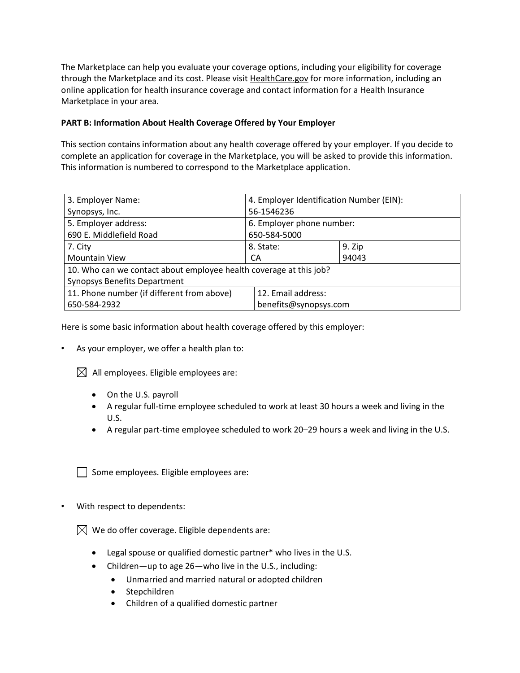The Marketplace can help you evaluate your coverage options, including your eligibility for coverage through the Marketplace and its cost. Please visit [HealthCare.gov](http://www.healthcare.gov/) for more information, including an online application for health insurance coverage and contact information for a Health Insurance Marketplace in your area.

# **PART B: Information About Health Coverage Offered by Your Employer**

This section contains information about any health coverage offered by your employer. If you decide to complete an application for coverage in the Marketplace, you will be asked to provide this information. This information is numbered to correspond to the Marketplace application.

| 3. Employer Name:                                                  | 4. Employer Identification Number (EIN): |        |  |  |  |  |
|--------------------------------------------------------------------|------------------------------------------|--------|--|--|--|--|
| Synopsys, Inc.                                                     | 56-1546236                               |        |  |  |  |  |
| 5. Employer address:                                               | 6. Employer phone number:                |        |  |  |  |  |
| 690 E. Middlefield Road                                            | 650-584-5000                             |        |  |  |  |  |
| 7. City                                                            | 8. State:                                | 9. Zip |  |  |  |  |
| <b>Mountain View</b>                                               | СA                                       | 94043  |  |  |  |  |
| 10. Who can we contact about employee health coverage at this job? |                                          |        |  |  |  |  |
| <b>Synopsys Benefits Department</b>                                |                                          |        |  |  |  |  |
| 11. Phone number (if different from above)                         | 12. Email address:                       |        |  |  |  |  |
| benefits@synopsys.com<br>650-584-2932                              |                                          |        |  |  |  |  |

Here is some basic information about health coverage offered by this employer:

As your employer, we offer a health plan to:

 $\boxtimes$  All employees. Eligible employees are:

- On the U.S. payroll
- A regular full-time employee scheduled to work at least 30 hours a week and living in the U.S.
- A regular part-time employee scheduled to work 20–29 hours a week and living in the U.S.

Some employees. Eligible employees are:

With respect to dependents:

 $\boxtimes$  We do offer coverage. Eligible dependents are:

- Legal spouse or qualified domestic partner\* who lives in the U.S.
- Children—up to age 26—who live in the U.S., including:
	- Unmarried and married natural or adopted children
	- Stepchildren
	- Children of a qualified domestic partner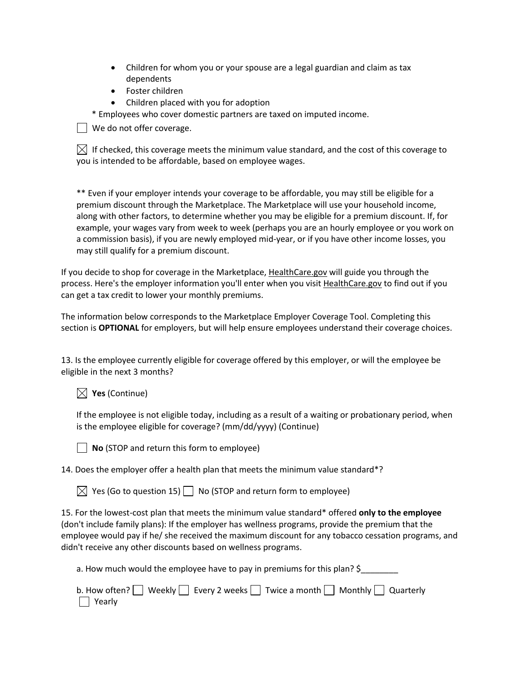- Children for whom you or your spouse are a legal guardian and claim as tax dependents
- Foster children
- Children placed with you for adoption

\* Employees who cover domestic partners are taxed on imputed income.

| | We do not offer coverage.

 $\boxtimes$  If checked, this coverage meets the minimum value standard, and the cost of this coverage to you is intended to be affordable, based on employee wages.

\*\* Even if your employer intends your coverage to be affordable, you may still be eligible for a premium discount through the Marketplace. The Marketplace will use your household income, along with other factors, to determine whether you may be eligible for a premium discount. If, for example, your wages vary from week to week (perhaps you are an hourly employee or you work on a commission basis), if you are newly employed mid-year, or if you have other income losses, you may still qualify for a premium discount.

If you decide to shop for coverage in the Marketplace, HealthCare.gov will guide you through the process. Here's the employer information you'll enter when you visit **HealthCare.gov** to find out if you can get a tax credit to lower your monthly premiums.

The information below corresponds to the Marketplace Employer Coverage Tool. Completing this section is **OPTIONAL** for employers, but will help ensure employees understand their coverage choices.

13. Is the employee currently eligible for coverage offered by this employer, or will the employee be eligible in the next 3 months?

 $\boxtimes$  Yes (Continue)

If the employee is not eligible today, including as a result of a waiting or probationary period, when is the employee eligible for coverage? (mm/dd/yyyy) (Continue)

**No** (STOP and return this form to employee)

14. Does the employer offer a health plan that meets the minimum value standard\*?

 $\boxtimes$  Yes (Go to question 15)  $\Box$  No (STOP and return form to employee)

15. For the lowest-cost plan that meets the minimum value standard\* offered **only to the employee**  (don't include family plans): If the employer has wellness programs, provide the premium that the employee would pay if he/ she received the maximum discount for any tobacco cessation programs, and didn't receive any other discounts based on wellness programs.

a. How much would the employee have to pay in premiums for this plan? \$

|               |  |  | b. How often? Weekly $\Box$ Every 2 weeks $\Box$ Twice a month $\Box$ Monthly $\Box$ Quarterly |  |  |
|---------------|--|--|------------------------------------------------------------------------------------------------|--|--|
| $\Box$ Yearly |  |  |                                                                                                |  |  |